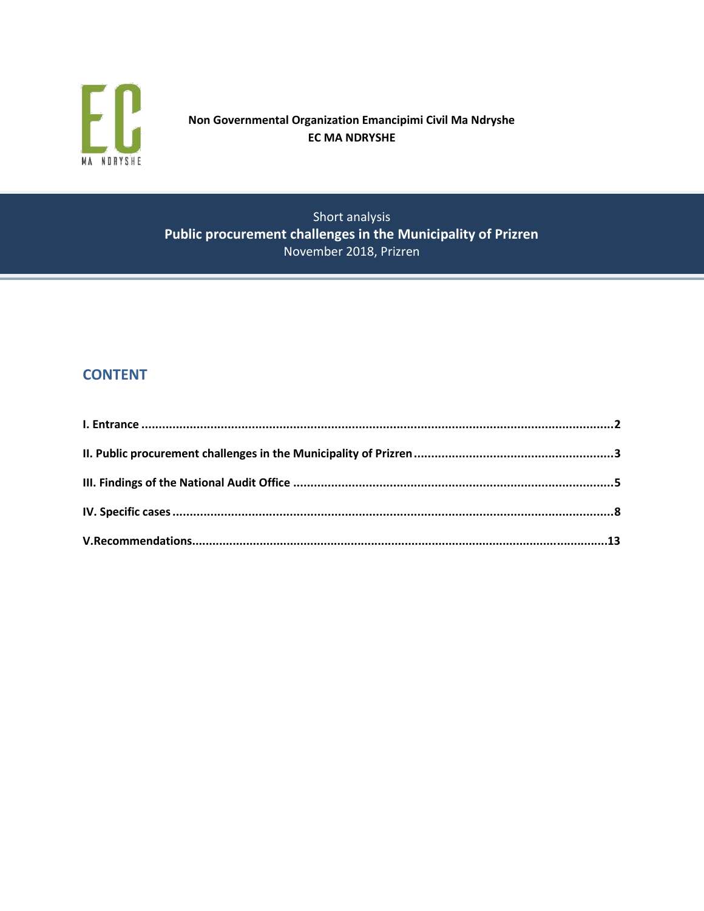

# **Non Governmental Organization Emancipimi Civil Ma Ndryshe EC MA NDRYSHE**

Short analysis **Public procurement challenges in the Municipality of Prizren** November 2018, Prizren

# **CONTENT**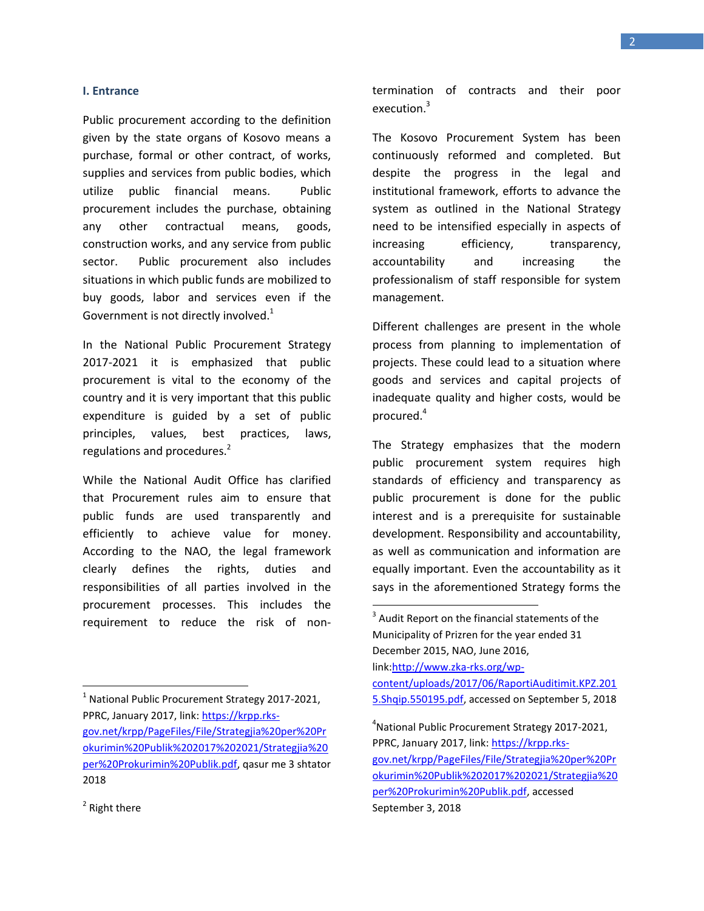#### **I. Entrance**

Public procurement according to the definition given by the state organs of Kosovo means a purchase, formal or other contract, of works, supplies and services from public bodies, which utilize public financial means. Public procurement includes the purchase, obtaining any other contractual means, goods, construction works, and any service from public sector. Public procurement also includes situations in which public funds are mobilized to buy goods, labor and services even if the Government is not directly involved. $1$ 

In the National Public Procurement Strategy 2017-2021 it is emphasized that public procurement is vital to the economy of the country and it is very important that this public expenditure is guided by a set of public principles, values, best practices, laws, regulations and procedures.<sup>2</sup>

While the National Audit Office has clarified that Procurement rules aim to ensure that public funds are used transparently and efficiently to achieve value for money. According to the NAO, the legal framework clearly defines the rights, duties and responsibilities of all parties involved in the procurement processes. This includes the requirement to reduce the risk of nontermination of contracts and their poor execution.<sup>3</sup>

The Kosovo Procurement System has been continuously reformed and completed. But despite the progress in the legal and institutional framework, efforts to advance the system as outlined in the National Strategy need to be intensified especially in aspects of increasing efficiency, transparency, accountability and increasing the professionalism of staff responsible for system management.

Different challenges are present in the whole process from planning to implementation of projects. These could lead to a situation where goods and services and capital projects of inadequate quality and higher costs, would be procured.<sup>4</sup>

The Strategy emphasizes that the modern public procurement system requires high standards of efficiency and transparency as public procurement is done for the public interest and is a prerequisite for sustainable development. Responsibility and accountability, as well as communication and information are equally important. Even the accountability as it says in the aforementioned Strategy forms the

 $\overline{\phantom{a}}$ 

 $\overline{a}$ 

<sup>&</sup>lt;sup>1</sup> National Public Procurement Strategy 2017-2021, PPRC, January 2017, link: [https://krpp.rks](https://krpp.rks-gov.net/krpp/PageFiles/File/Strategjia%20per%20Prokurimin%20Publik%202017%202021/Strategjia%20per%20Prokurimin%20Publik.pdf)[gov.net/krpp/PageFiles/File/Strategjia%20per%20Pr](https://krpp.rks-gov.net/krpp/PageFiles/File/Strategjia%20per%20Prokurimin%20Publik%202017%202021/Strategjia%20per%20Prokurimin%20Publik.pdf) [okurimin%20Publik%202017%202021/Strategjia%20](https://krpp.rks-gov.net/krpp/PageFiles/File/Strategjia%20per%20Prokurimin%20Publik%202017%202021/Strategjia%20per%20Prokurimin%20Publik.pdf) [per%20Prokurimin%20Publik.pdf,](https://krpp.rks-gov.net/krpp/PageFiles/File/Strategjia%20per%20Prokurimin%20Publik%202017%202021/Strategjia%20per%20Prokurimin%20Publik.pdf) qasur me 3 shtator 2018

 $3$  Audit Report on the financial statements of the Municipality of Prizren for the year ended 31 December 2015, NAO, June 2016, link[:http://www.zka-rks.org/wp](http://www.zka-rks.org/wp-content/uploads/2017/06/RaportiAuditimit.KPZ.2015.Shqip.550195.pdf)[content/uploads/2017/06/RaportiAuditimit.KPZ.201](http://www.zka-rks.org/wp-content/uploads/2017/06/RaportiAuditimit.KPZ.2015.Shqip.550195.pdf) [5.Shqip.550195.pdf,](http://www.zka-rks.org/wp-content/uploads/2017/06/RaportiAuditimit.KPZ.2015.Shqip.550195.pdf) accessed on September 5, 2018

<sup>4</sup> National Public Procurement Strategy 2017-2021, PPRC, January 2017, link: [https://krpp.rks](https://krpp.rks-gov.net/krpp/PageFiles/File/Strategjia%20per%20Prokurimin%20Publik%202017%202021/Strategjia%20per%20Prokurimin%20Publik.pdf)[gov.net/krpp/PageFiles/File/Strategjia%20per%20Pr](https://krpp.rks-gov.net/krpp/PageFiles/File/Strategjia%20per%20Prokurimin%20Publik%202017%202021/Strategjia%20per%20Prokurimin%20Publik.pdf) [okurimin%20Publik%202017%202021/Strategjia%20](https://krpp.rks-gov.net/krpp/PageFiles/File/Strategjia%20per%20Prokurimin%20Publik%202017%202021/Strategjia%20per%20Prokurimin%20Publik.pdf) [per%20Prokurimin%20Publik.pdf,](https://krpp.rks-gov.net/krpp/PageFiles/File/Strategjia%20per%20Prokurimin%20Publik%202017%202021/Strategjia%20per%20Prokurimin%20Publik.pdf) accessed September 3, 2018

<sup>&</sup>lt;sup>2</sup> Right there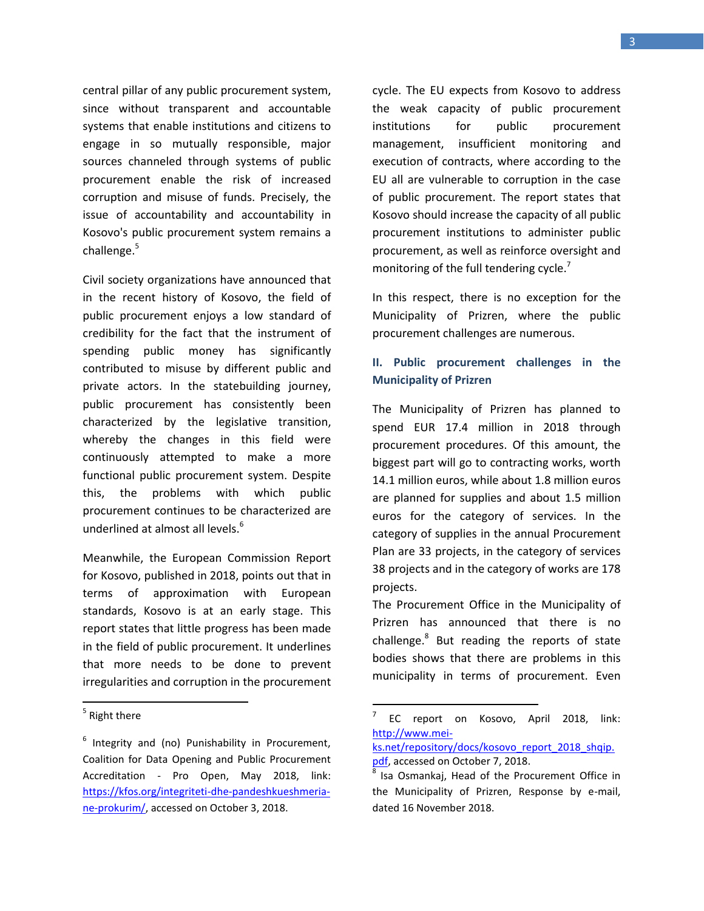central pillar of any public procurement system, since without transparent and accountable systems that enable institutions and citizens to engage in so mutually responsible, major sources channeled through systems of public procurement enable the risk of increased corruption and misuse of funds. Precisely, the issue of accountability and accountability in Kosovo's public procurement system remains a challenge.<sup>5</sup>

Civil society organizations have announced that in the recent history of Kosovo, the field of public procurement enjoys a low standard of credibility for the fact that the instrument of spending public money has significantly contributed to misuse by different public and private actors. In the statebuilding journey, public procurement has consistently been characterized by the legislative transition, whereby the changes in this field were continuously attempted to make a more functional public procurement system. Despite this, the problems with which public procurement continues to be characterized are underlined at almost all levels.<sup>6</sup>

Meanwhile, the European Commission Report for Kosovo, published in 2018, points out that in terms of approximation with European standards, Kosovo is at an early stage. This report states that little progress has been made in the field of public procurement. It underlines that more needs to be done to prevent irregularities and corruption in the procurement

 $\overline{\phantom{a}}$ 

cycle. The EU expects from Kosovo to address the weak capacity of public procurement institutions for public procurement management, insufficient monitoring and execution of contracts, where according to the EU all are vulnerable to corruption in the case of public procurement. The report states that Kosovo should increase the capacity of all public procurement institutions to administer public procurement, as well as reinforce oversight and monitoring of the full tendering cycle. $<sup>7</sup>$ </sup>

In this respect, there is no exception for the Municipality of Prizren, where the public procurement challenges are numerous.

### **II. Public procurement challenges in the Municipality of Prizren**

The Municipality of Prizren has planned to spend EUR 17.4 million in 2018 through procurement procedures. Of this amount, the biggest part will go to contracting works, worth 14.1 million euros, while about 1.8 million euros are planned for supplies and about 1.5 million euros for the category of services. In the category of supplies in the annual Procurement Plan are 33 projects, in the category of services 38 projects and in the category of works are 178 projects.

The Procurement Office in the Municipality of Prizren has announced that there is no challenge.<sup>8</sup> But reading the reports of state bodies shows that there are problems in this municipality in terms of procurement. Even

<sup>&</sup>lt;sup>5</sup> Right there

<sup>&</sup>lt;sup>6</sup> Integrity and (no) Punishability in Procurement, Coalition for Data Opening and Public Procurement Accreditation - Pro Open, May 2018, link: [https://kfos.org/integriteti-dhe-pandeshkueshmeria](https://kfos.org/integriteti-dhe-pandeshkueshmeria-ne-prokurim/)[ne-prokurim/,](https://kfos.org/integriteti-dhe-pandeshkueshmeria-ne-prokurim/) accessed on October 3, 2018.

<sup>-&</sup>lt;br>7 EC report on Kosovo, April 2018, link: [http://www.mei-](http://www.mei-ks.net/repository/docs/kosovo_report_2018_shqip.pdf)

[ks.net/repository/docs/kosovo\\_report\\_2018\\_shqip.](http://www.mei-ks.net/repository/docs/kosovo_report_2018_shqip.pdf) [pdf,](http://www.mei-ks.net/repository/docs/kosovo_report_2018_shqip.pdf) accessed on October 7, 2018.

 $8$  Isa Osmankaj, Head of the Procurement Office in the Municipality of Prizren, Response by e-mail, dated 16 November 2018.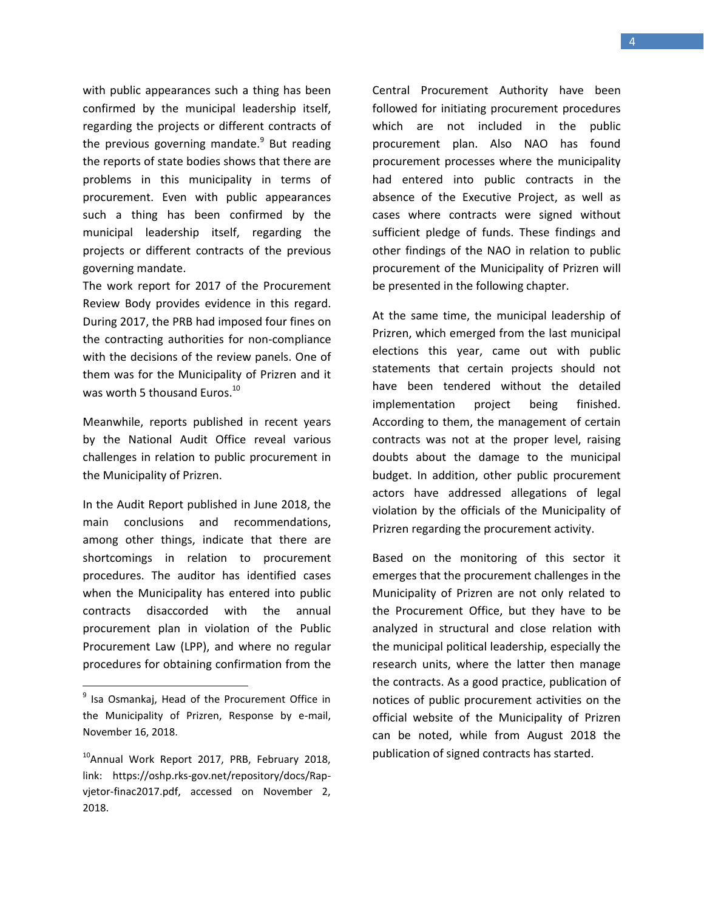with public appearances such a thing has been confirmed by the municipal leadership itself, regarding the projects or different contracts of the previous governing mandate.<sup>9</sup> But reading the reports of state bodies shows that there are problems in this municipality in terms of procurement. Even with public appearances such a thing has been confirmed by the municipal leadership itself, regarding the projects or different contracts of the previous governing mandate.

The work report for 2017 of the Procurement Review Body provides evidence in this regard. During 2017, the PRB had imposed four fines on the contracting authorities for non-compliance with the decisions of the review panels. One of them was for the Municipality of Prizren and it was worth 5 thousand Euros.<sup>10</sup>

Meanwhile, reports published in recent years by the National Audit Office reveal various challenges in relation to public procurement in the Municipality of Prizren.

In the Audit Report published in June 2018, the main conclusions and recommendations, among other things, indicate that there are shortcomings in relation to procurement procedures. The auditor has identified cases when the Municipality has entered into public contracts disaccorded with the annual procurement plan in violation of the Public Procurement Law (LPP), and where no regular procedures for obtaining confirmation from the

 $\overline{a}$ 

Central Procurement Authority have been followed for initiating procurement procedures which are not included in the public procurement plan. Also NAO has found procurement processes where the municipality had entered into public contracts in the absence of the Executive Project, as well as cases where contracts were signed without sufficient pledge of funds. These findings and other findings of the NAO in relation to public procurement of the Municipality of Prizren will be presented in the following chapter.

At the same time, the municipal leadership of Prizren, which emerged from the last municipal elections this year, came out with public statements that certain projects should not have been tendered without the detailed implementation project being finished. According to them, the management of certain contracts was not at the proper level, raising doubts about the damage to the municipal budget. In addition, other public procurement actors have addressed allegations of legal violation by the officials of the Municipality of Prizren regarding the procurement activity.

Based on the monitoring of this sector it emerges that the procurement challenges in the Municipality of Prizren are not only related to the Procurement Office, but they have to be analyzed in structural and close relation with the municipal political leadership, especially the research units, where the latter then manage the contracts. As a good practice, publication of notices of public procurement activities on the official website of the Municipality of Prizren can be noted, while from August 2018 the publication of signed contracts has started.

<sup>&</sup>lt;sup>9</sup> Isa Osmankaj, Head of the Procurement Office in the Municipality of Prizren, Response by e-mail, November 16, 2018.

<sup>&</sup>lt;sup>10</sup> Annual Work Report 2017, PRB, February 2018, link: https://oshp.rks-gov.net/repository/docs/Rapvjetor-finac2017.pdf, accessed on November 2, 2018.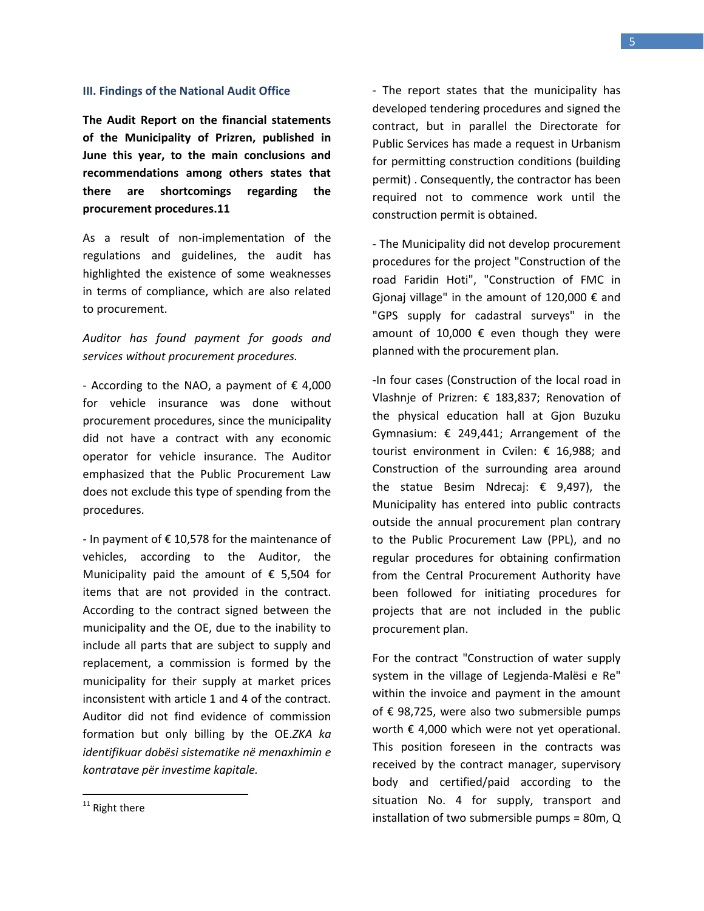#### **III. Findings of the National Audit Office**

**The Audit Report on the financial statements of the Municipality of Prizren, published in June this year, to the main conclusions and recommendations among others states that there are shortcomings regarding the procurement procedures.11**

As a result of non-implementation of the regulations and guidelines, the audit has highlighted the existence of some weaknesses in terms of compliance, which are also related to procurement.

### *Auditor has found payment for goods and services without procurement procedures.*

- According to the NAO, a payment of  $\epsilon$  4,000 for vehicle insurance was done without procurement procedures, since the municipality did not have a contract with any economic operator for vehicle insurance. The Auditor emphasized that the Public Procurement Law does not exclude this type of spending from the procedures.

- In payment of  $\epsilon$  10,578 for the maintenance of vehicles, according to the Auditor, the Municipality paid the amount of  $\epsilon$  5,504 for items that are not provided in the contract. According to the contract signed between the municipality and the OE, due to the inability to include all parts that are subject to supply and replacement, a commission is formed by the municipality for their supply at market prices inconsistent with article 1 and 4 of the contract. Auditor did not find evidence of commission formation but only billing by the OE.*ZKA ka identifikuar dobësi sistematike në menaxhimin e kontratave për investime kapitale.* 

- The report states that the municipality has developed tendering procedures and signed the contract, but in parallel the Directorate for Public Services has made a request in Urbanism for permitting construction conditions (building permit) . Consequently, the contractor has been required not to commence work until the construction permit is obtained.

- The Municipality did not develop procurement procedures for the project "Construction of the road Faridin Hoti", "Construction of FMC in Gjonaj village" in the amount of 120,000  $\epsilon$  and "GPS supply for cadastral surveys" in the amount of 10,000  $\epsilon$  even though they were planned with the procurement plan.

-In four cases (Construction of the local road in Vlashnje of Prizren: € 183,837; Renovation of the physical education hall at Gjon Buzuku Gymnasium:  $\epsilon$  249,441; Arrangement of the tourist environment in Cvilen: € 16,988; and Construction of the surrounding area around the statue Besim Ndrecaj: € 9,497), the Municipality has entered into public contracts outside the annual procurement plan contrary to the Public Procurement Law (PPL), and no regular procedures for obtaining confirmation from the Central Procurement Authority have been followed for initiating procedures for projects that are not included in the public procurement plan.

For the contract "Construction of water supply system in the village of Legjenda-Malësi e Re" within the invoice and payment in the amount of € 98,725, were also two submersible pumps worth € 4,000 which were not yet operational. This position foreseen in the contracts was received by the contract manager, supervisory body and certified/paid according to the situation No. 4 for supply, transport and installation of two submersible pumps = 80m, Q

l

 $11$  Right there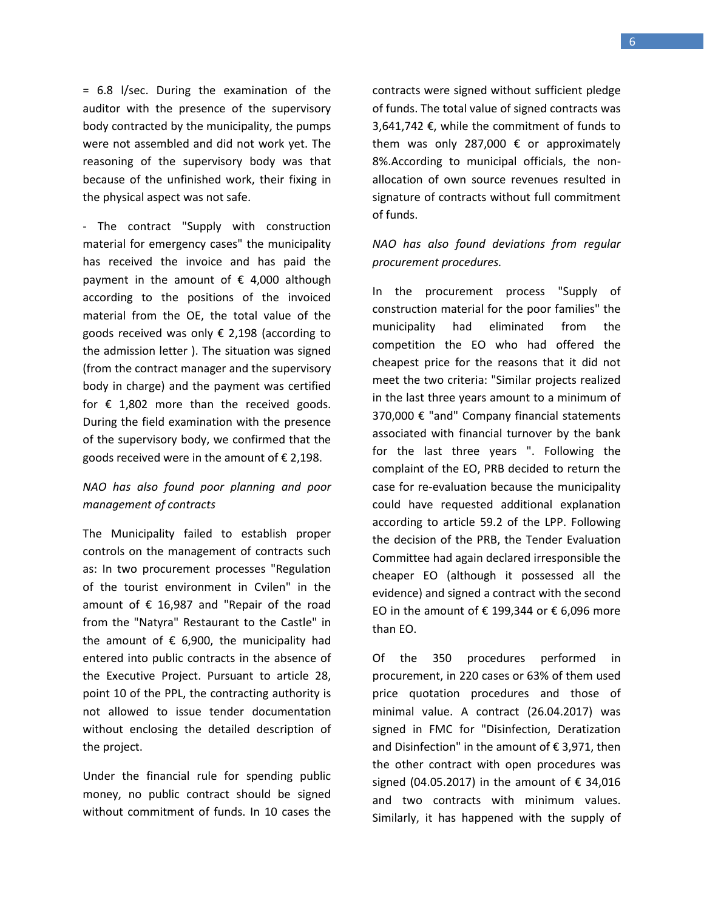= 6.8 l/sec. During the examination of the auditor with the presence of the supervisory body contracted by the municipality, the pumps were not assembled and did not work yet. The reasoning of the supervisory body was that because of the unfinished work, their fixing in the physical aspect was not safe.

- The contract "Supply with construction material for emergency cases" the municipality has received the invoice and has paid the payment in the amount of  $\epsilon$  4,000 although according to the positions of the invoiced material from the OE, the total value of the goods received was only  $\epsilon$  2,198 (according to the admission letter ). The situation was signed (from the contract manager and the supervisory body in charge) and the payment was certified for  $\epsilon$  1,802 more than the received goods. During the field examination with the presence of the supervisory body, we confirmed that the goods received were in the amount of  $\epsilon$  2,198.

# *NAO has also found poor planning and poor management of contracts*

The Municipality failed to establish proper controls on the management of contracts such as: In two procurement processes "Regulation of the tourist environment in Cvilen" in the amount of  $\epsilon$  16,987 and "Repair of the road from the "Natyra" Restaurant to the Castle" in the amount of  $\epsilon$  6,900, the municipality had entered into public contracts in the absence of the Executive Project. Pursuant to article 28, point 10 of the PPL, the contracting authority is not allowed to issue tender documentation without enclosing the detailed description of the project.

Under the financial rule for spending public money, no public contract should be signed without commitment of funds. In 10 cases the

contracts were signed without sufficient pledge of funds. The total value of signed contracts was 3,641,742 €, while the commitment of funds to them was only 287,000  $\epsilon$  or approximately 8%.According to municipal officials, the nonallocation of own source revenues resulted in signature of contracts without full commitment of funds.

# *NAO has also found deviations from regular procurement procedures.*

In the procurement process "Supply of construction material for the poor families" the municipality had eliminated from the competition the EO who had offered the cheapest price for the reasons that it did not meet the two criteria: "Similar projects realized in the last three years amount to a minimum of 370,000 € "and" Company financial statements associated with financial turnover by the bank for the last three years ". Following the complaint of the EO, PRB decided to return the case for re-evaluation because the municipality could have requested additional explanation according to article 59.2 of the LPP. Following the decision of the PRB, the Tender Evaluation Committee had again declared irresponsible the cheaper EO (although it possessed all the evidence) and signed a contract with the second EO in the amount of € 199,344 or € 6,096 more than EO.

Of the 350 procedures performed in procurement, in 220 cases or 63% of them used price quotation procedures and those of minimal value. A contract (26.04.2017) was signed in FMC for "Disinfection, Deratization and Disinfection" in the amount of € 3,971, then the other contract with open procedures was signed (04.05.2017) in the amount of  $\epsilon$  34,016 and two contracts with minimum values. Similarly, it has happened with the supply of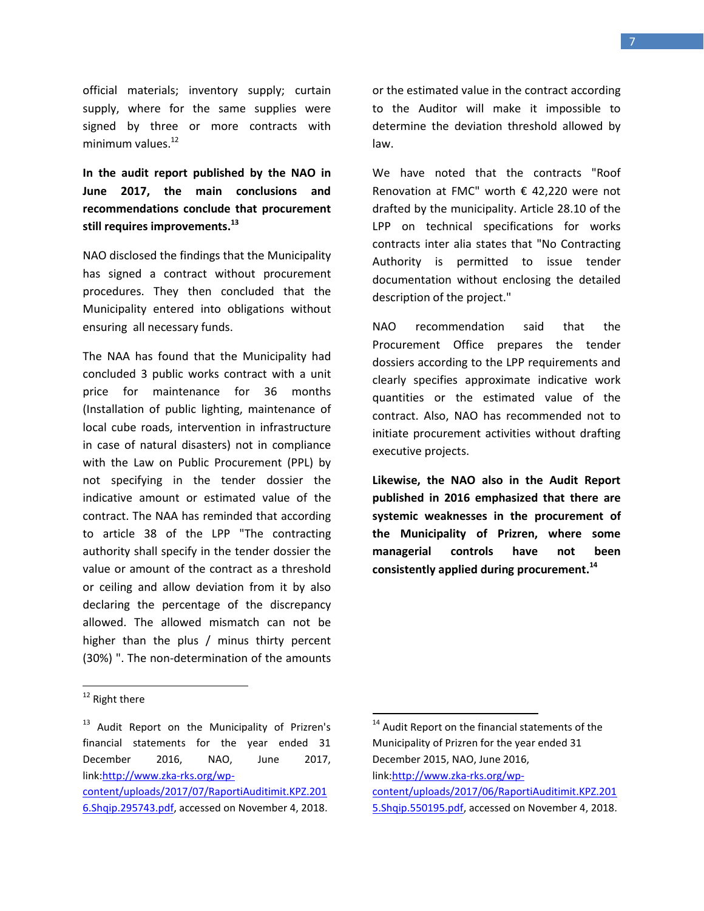official materials; inventory supply; curtain supply, where for the same supplies were signed by three or more contracts with minimum values.<sup>12</sup>

**In the audit report published by the NAO in June 2017, the main conclusions and recommendations conclude that procurement still requires improvements. 13**

NAO disclosed the findings that the Municipality has signed a contract without procurement procedures. They then concluded that the Municipality entered into obligations without ensuring all necessary funds.

The NAA has found that the Municipality had concluded 3 public works contract with a unit price for maintenance for 36 months (Installation of public lighting, maintenance of local cube roads, intervention in infrastructure in case of natural disasters) not in compliance with the Law on Public Procurement (PPL) by not specifying in the tender dossier the indicative amount or estimated value of the contract. The NAA has reminded that according to article 38 of the LPP "The contracting authority shall specify in the tender dossier the value or amount of the contract as a threshold or ceiling and allow deviation from it by also declaring the percentage of the discrepancy allowed. The allowed mismatch can not be higher than the plus / minus thirty percent (30%) ". The non-determination of the amounts

or the estimated value in the contract according to the Auditor will make it impossible to determine the deviation threshold allowed by law.

We have noted that the contracts "Roof Renovation at FMC" worth € 42,220 were not drafted by the municipality. Article 28.10 of the LPP on technical specifications for works contracts inter alia states that "No Contracting Authority is permitted to issue tender documentation without enclosing the detailed description of the project."

NAO recommendation said that the Procurement Office prepares the tender dossiers according to the LPP requirements and clearly specifies approximate indicative work quantities or the estimated value of the contract. Also, NAO has recommended not to initiate procurement activities without drafting executive projects.

**Likewise, the NAO also in the Audit Report published in 2016 emphasized that there are systemic weaknesses in the procurement of the Municipality of Prizren, where some managerial controls have not been consistently applied during procurement. 14**

 $\overline{a}$ 

[5.Shqip.550195.pdf,](http://www.zka-rks.org/wp-content/uploads/2017/06/RaportiAuditimit.KPZ.2015.Shqip.550195.pdf) accessed on November 4, 2018.

 $\overline{a}$ <sup>12</sup> Right there

<sup>&</sup>lt;sup>13</sup> Audit Report on the Municipality of Prizren's financial statements for the year ended 31 December 2016, NAO, June 2017, link[:http://www.zka-rks.org/wp](http://www.zka-rks.org/wp-content/uploads/2017/07/RaportiAuditimit.KPZ.2016.Shqip.295743.pdf)[content/uploads/2017/07/RaportiAuditimit.KPZ.201](http://www.zka-rks.org/wp-content/uploads/2017/07/RaportiAuditimit.KPZ.2016.Shqip.295743.pdf) [6.Shqip.295743.pdf,](http://www.zka-rks.org/wp-content/uploads/2017/07/RaportiAuditimit.KPZ.2016.Shqip.295743.pdf) accessed on November 4, 2018.

<sup>&</sup>lt;sup>14</sup> Audit Report on the financial statements of the Municipality of Prizren for the year ended 31 December 2015, NAO, June 2016, link[:http://www.zka-rks.org/wp](http://www.zka-rks.org/wp-content/uploads/2017/06/RaportiAuditimit.KPZ.2015.Shqip.550195.pdf)[content/uploads/2017/06/RaportiAuditimit.KPZ.201](http://www.zka-rks.org/wp-content/uploads/2017/06/RaportiAuditimit.KPZ.2015.Shqip.550195.pdf)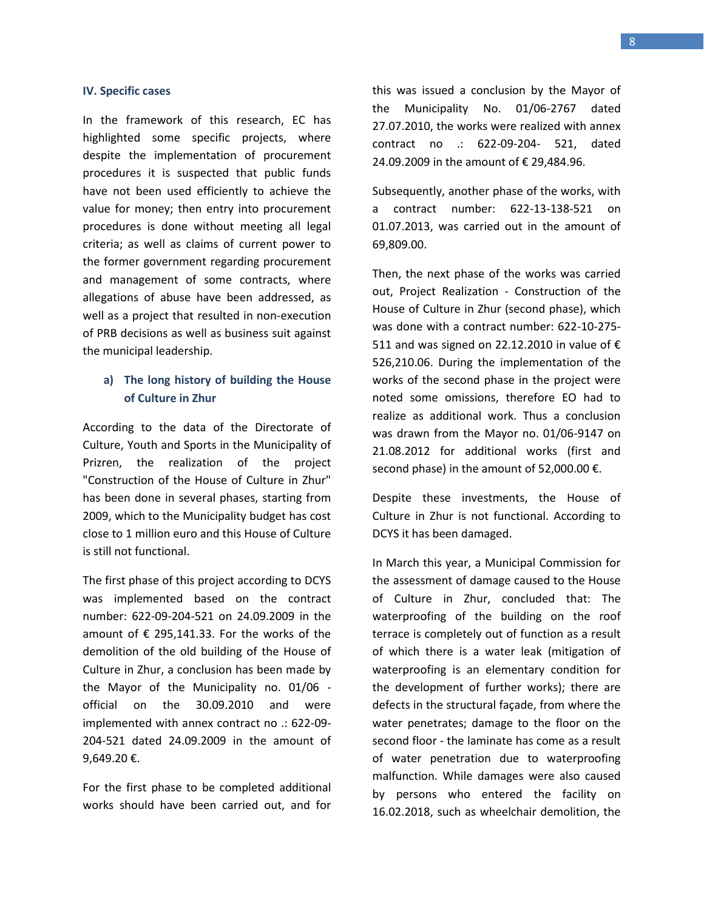#### **IV. Specific cases**

In the framework of this research, EC has highlighted some specific projects, where despite the implementation of procurement procedures it is suspected that public funds have not been used efficiently to achieve the value for money; then entry into procurement procedures is done without meeting all legal criteria; as well as claims of current power to the former government regarding procurement and management of some contracts, where allegations of abuse have been addressed, as well as a project that resulted in non-execution of PRB decisions as well as business suit against the municipal leadership.

### **a) The long history of building the House of Culture in Zhur**

According to the data of the Directorate of Culture, Youth and Sports in the Municipality of Prizren, the realization of the project "Construction of the House of Culture in Zhur" has been done in several phases, starting from 2009, which to the Municipality budget has cost close to 1 million euro and this House of Culture is still not functional.

The first phase of this project according to DCYS was implemented based on the contract number: 622-09-204-521 on 24.09.2009 in the amount of  $\epsilon$  295,141.33. For the works of the demolition of the old building of the House of Culture in Zhur, a conclusion has been made by the Mayor of the Municipality no. 01/06 official on the 30.09.2010 and were implemented with annex contract no .: 622-09- 204-521 dated 24.09.2009 in the amount of 9,649.20 €.

For the first phase to be completed additional works should have been carried out, and for this was issued a conclusion by the Mayor of the Municipality No. 01/06-2767 dated 27.07.2010, the works were realized with annex contract no .: 622-09-204- 521, dated 24.09.2009 in the amount of € 29,484.96.

Subsequently, another phase of the works, with a contract number: 622-13-138-521 on 01.07.2013, was carried out in the amount of 69,809.00.

Then, the next phase of the works was carried out, Project Realization - Construction of the House of Culture in Zhur (second phase), which was done with a contract number: 622-10-275- 511 and was signed on 22.12.2010 in value of  $\epsilon$ 526,210.06. During the implementation of the works of the second phase in the project were noted some omissions, therefore EO had to realize as additional work. Thus a conclusion was drawn from the Mayor no. 01/06-9147 on 21.08.2012 for additional works (first and second phase) in the amount of 52,000.00  $\epsilon$ .

Despite these investments, the House of Culture in Zhur is not functional. According to DCYS it has been damaged.

In March this year, a Municipal Commission for the assessment of damage caused to the House of Culture in Zhur, concluded that: The waterproofing of the building on the roof terrace is completely out of function as a result of which there is a water leak (mitigation of waterproofing is an elementary condition for the development of further works); there are defects in the structural façade, from where the water penetrates; damage to the floor on the second floor - the laminate has come as a result of water penetration due to waterproofing malfunction. While damages were also caused by persons who entered the facility on 16.02.2018, such as wheelchair demolition, the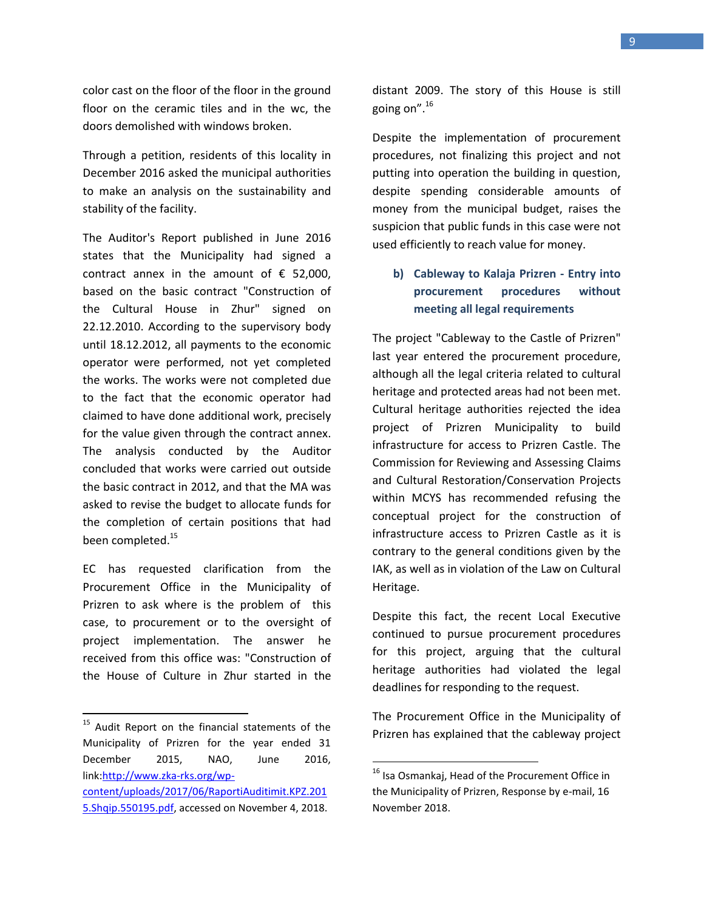color cast on the floor of the floor in the ground floor on the ceramic tiles and in the wc, the doors demolished with windows broken.

Through a petition, residents of this locality in December 2016 asked the municipal authorities to make an analysis on the sustainability and stability of the facility.

The Auditor's Report published in June 2016 states that the Municipality had signed a contract annex in the amount of  $\epsilon$  52,000, based on the basic contract "Construction of the Cultural House in Zhur" signed on 22.12.2010. According to the supervisory body until 18.12.2012, all payments to the economic operator were performed, not yet completed the works. The works were not completed due to the fact that the economic operator had claimed to have done additional work, precisely for the value given through the contract annex. The analysis conducted by the Auditor concluded that works were carried out outside the basic contract in 2012, and that the MA was asked to revise the budget to allocate funds for the completion of certain positions that had been completed. 15

EC has requested clarification from the Procurement Office in the Municipality of Prizren to ask where is the problem of this case, to procurement or to the oversight of project implementation. The answer he received from this office was: "Construction of the House of Culture in Zhur started in the

 $\overline{a}$ 

distant 2009. The story of this House is still going on". 16

Despite the implementation of procurement procedures, not finalizing this project and not putting into operation the building in question, despite spending considerable amounts of money from the municipal budget, raises the suspicion that public funds in this case were not used efficiently to reach value for money.

# **b) Cableway to Kalaja Prizren - Entry into procurement procedures without meeting all legal requirements**

The project "Cableway to the Castle of Prizren" last year entered the procurement procedure, although all the legal criteria related to cultural heritage and protected areas had not been met. Cultural heritage authorities rejected the idea project of Prizren Municipality to build infrastructure for access to Prizren Castle. The Commission for Reviewing and Assessing Claims and Cultural Restoration/Conservation Projects within MCYS has recommended refusing the conceptual project for the construction of infrastructure access to Prizren Castle as it is contrary to the general conditions given by the IAK, as well as in violation of the Law on Cultural Heritage.

Despite this fact, the recent Local Executive continued to pursue procurement procedures for this project, arguing that the cultural heritage authorities had violated the legal deadlines for responding to the request.

The Procurement Office in the Municipality of Prizren has explained that the cableway project

l

<sup>&</sup>lt;sup>15</sup> Audit Report on the financial statements of the Municipality of Prizren for the year ended 31 December 2015, NAO, June 2016, link[:http://www.zka-rks.org/wp](http://www.zka-rks.org/wp-content/uploads/2017/06/RaportiAuditimit.KPZ.2015.Shqip.550195.pdf)[content/uploads/2017/06/RaportiAuditimit.KPZ.201](http://www.zka-rks.org/wp-content/uploads/2017/06/RaportiAuditimit.KPZ.2015.Shqip.550195.pdf) [5.Shqip.550195.pdf,](http://www.zka-rks.org/wp-content/uploads/2017/06/RaportiAuditimit.KPZ.2015.Shqip.550195.pdf) accessed on November 4, 2018.

<sup>&</sup>lt;sup>16</sup> Isa Osmankaj, Head of the Procurement Office in the Municipality of Prizren, Response by e-mail, 16 November 2018.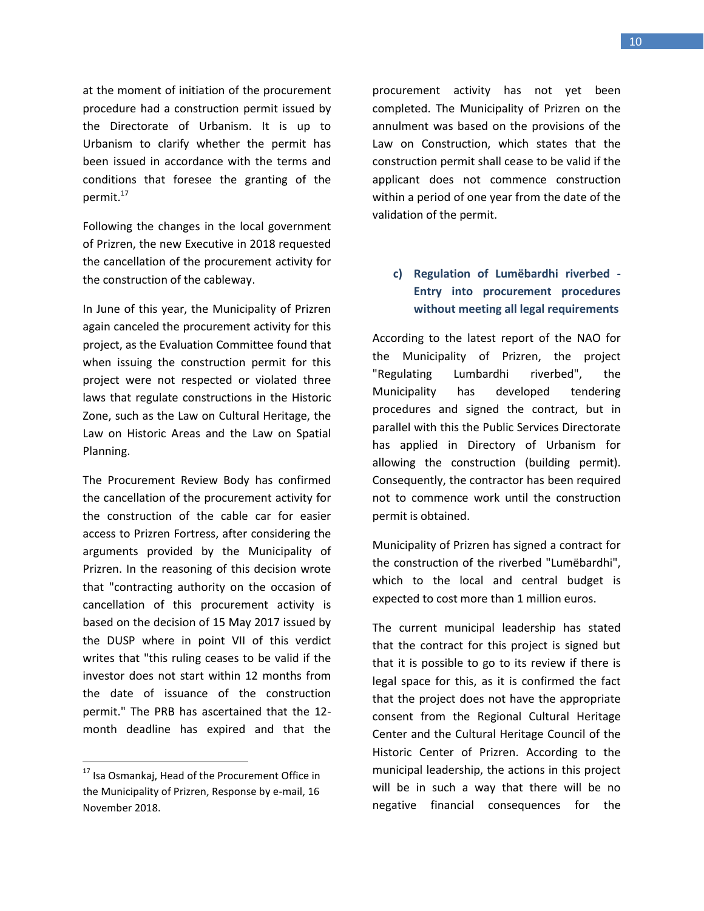at the moment of initiation of the procurement procedure had a construction permit issued by the Directorate of Urbanism. It is up to Urbanism to clarify whether the permit has been issued in accordance with the terms and conditions that foresee the granting of the permit. 17

Following the changes in the local government of Prizren, the new Executive in 2018 requested the cancellation of the procurement activity for the construction of the cableway.

In June of this year, the Municipality of Prizren again canceled the procurement activity for this project, as the Evaluation Committee found that when issuing the construction permit for this project were not respected or violated three laws that regulate constructions in the Historic Zone, such as the Law on Cultural Heritage, the Law on Historic Areas and the Law on Spatial Planning.

The Procurement Review Body has confirmed the cancellation of the procurement activity for the construction of the cable car for easier access to Prizren Fortress, after considering the arguments provided by the Municipality of Prizren. In the reasoning of this decision wrote that "contracting authority on the occasion of cancellation of this procurement activity is based on the decision of 15 May 2017 issued by the DUSP where in point VII of this verdict writes that "this ruling ceases to be valid if the investor does not start within 12 months from the date of issuance of the construction permit." The PRB has ascertained that the 12 month deadline has expired and that the

l

procurement activity has not yet been completed. The Municipality of Prizren on the annulment was based on the provisions of the Law on Construction, which states that the construction permit shall cease to be valid if the applicant does not commence construction within a period of one year from the date of the validation of the permit.

# **c) Regulation of Lumëbardhi riverbed - Entry into procurement procedures without meeting all legal requirements**

According to the latest report of the NAO for the Municipality of Prizren, the project "Regulating Lumbardhi riverbed", the Municipality has developed tendering procedures and signed the contract, but in parallel with this the Public Services Directorate has applied in Directory of Urbanism for allowing the construction (building permit). Consequently, the contractor has been required not to commence work until the construction permit is obtained.

Municipality of Prizren has signed a contract for the construction of the riverbed "Lumëbardhi", which to the local and central budget is expected to cost more than 1 million euros.

The current municipal leadership has stated that the contract for this project is signed but that it is possible to go to its review if there is legal space for this, as it is confirmed the fact that the project does not have the appropriate consent from the Regional Cultural Heritage Center and the Cultural Heritage Council of the Historic Center of Prizren. According to the municipal leadership, the actions in this project will be in such a way that there will be no negative financial consequences for the

<sup>&</sup>lt;sup>17</sup> Isa Osmankaj, Head of the Procurement Office in the Municipality of Prizren, Response by e-mail, 16 November 2018.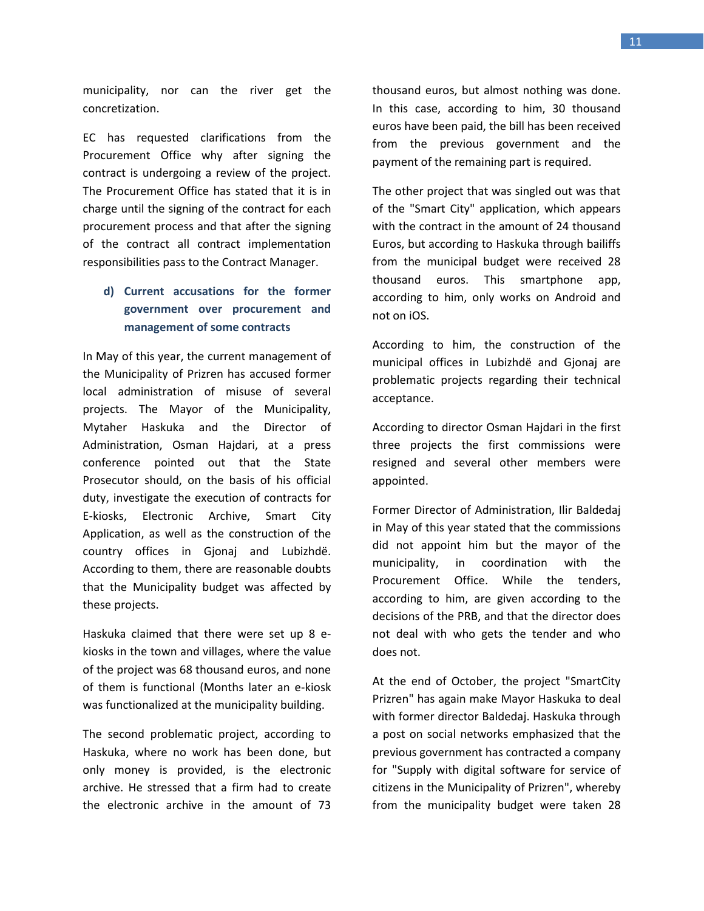municipality, nor can the river get the concretization.

EC has requested clarifications from the Procurement Office why after signing the contract is undergoing a review of the project. The Procurement Office has stated that it is in charge until the signing of the contract for each procurement process and that after the signing of the contract all contract implementation responsibilities pass to the Contract Manager.

# **d) Current accusations for the former government over procurement and management of some contracts**

In May of this year, the current management of the Municipality of Prizren has accused former local administration of misuse of several projects. The Mayor of the Municipality, Mytaher Haskuka and the Director of Administration, Osman Hajdari, at a press conference pointed out that the State Prosecutor should, on the basis of his official duty, investigate the execution of contracts for E-kiosks, Electronic Archive, Smart City Application, as well as the construction of the country offices in Gjonaj and Lubizhdë. According to them, there are reasonable doubts that the Municipality budget was affected by these projects.

Haskuka claimed that there were set up 8 ekiosks in the town and villages, where the value of the project was 68 thousand euros, and none of them is functional (Months later an e-kiosk was functionalized at the municipality building.

The second problematic project, according to Haskuka, where no work has been done, but only money is provided, is the electronic archive. He stressed that a firm had to create the electronic archive in the amount of 73 thousand euros, but almost nothing was done. In this case, according to him, 30 thousand euros have been paid, the bill has been received from the previous government and the payment of the remaining part is required.

The other project that was singled out was that of the "Smart City" application, which appears with the contract in the amount of 24 thousand Euros, but according to Haskuka through bailiffs from the municipal budget were received 28 thousand euros. This smartphone app, according to him, only works on Android and not on iOS.

According to him, the construction of the municipal offices in Lubizhdë and Gjonaj are problematic projects regarding their technical acceptance.

According to director Osman Hajdari in the first three projects the first commissions were resigned and several other members were appointed.

Former Director of Administration, Ilir Baldedaj in May of this year stated that the commissions did not appoint him but the mayor of the municipality, in coordination with the Procurement Office. While the tenders, according to him, are given according to the decisions of the PRB, and that the director does not deal with who gets the tender and who does not.

At the end of October, the project "SmartCity Prizren" has again make Mayor Haskuka to deal with former director Baldedaj. Haskuka through a post on social networks emphasized that the previous government has contracted a company for "Supply with digital software for service of citizens in the Municipality of Prizren", whereby from the municipality budget were taken 28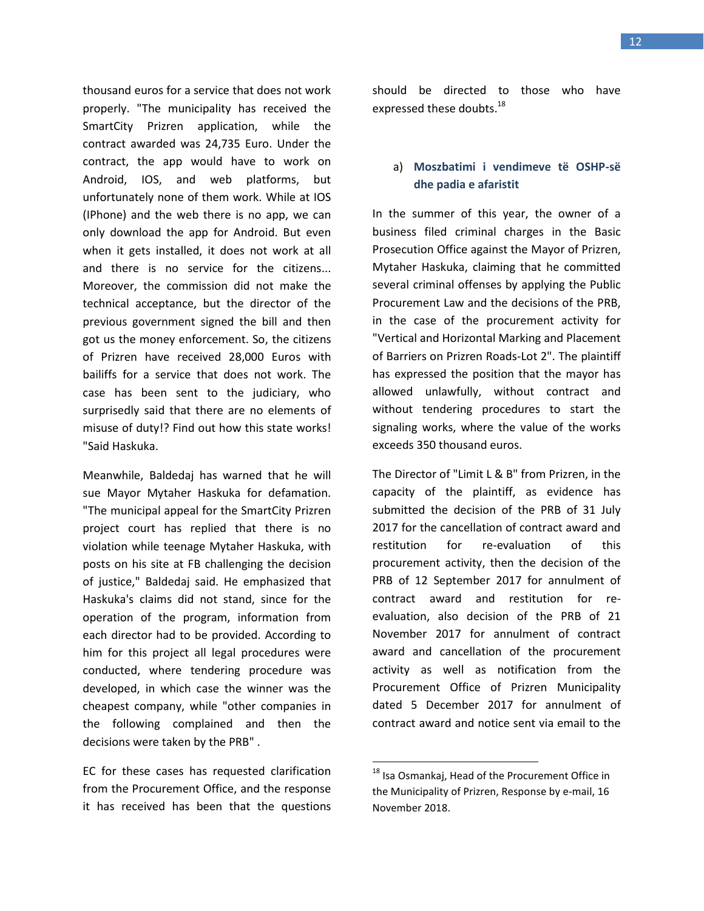thousand euros for a service that does not work properly. "The municipality has received the SmartCity Prizren application, while the contract awarded was 24,735 Euro. Under the contract, the app would have to work on Android, IOS, and web platforms, but unfortunately none of them work. While at IOS (IPhone) and the web there is no app, we can only download the app for Android. But even when it gets installed, it does not work at all and there is no service for the citizens... Moreover, the commission did not make the technical acceptance, but the director of the previous government signed the bill and then got us the money enforcement. So, the citizens of Prizren have received 28,000 Euros with bailiffs for a service that does not work. The case has been sent to the judiciary, who surprisedly said that there are no elements of misuse of duty!? Find out how this state works! "Said Haskuka.

Meanwhile, Baldedaj has warned that he will sue Mayor Mytaher Haskuka for defamation. "The municipal appeal for the SmartCity Prizren project court has replied that there is no violation while teenage Mytaher Haskuka, with posts on his site at FB challenging the decision of justice," Baldedaj said. He emphasized that Haskuka's claims did not stand, since for the operation of the program, information from each director had to be provided. According to him for this project all legal procedures were conducted, where tendering procedure was developed, in which case the winner was the cheapest company, while "other companies in the following complained and then the decisions were taken by the PRB" .

EC for these cases has requested clarification from the Procurement Office, and the response it has received has been that the questions should be directed to those who have expressed these doubts.<sup>18</sup>

### a) **Moszbatimi i vendimeve të OSHP-së dhe padia e afaristit**

In the summer of this year, the owner of a business filed criminal charges in the Basic Prosecution Office against the Mayor of Prizren, Mytaher Haskuka, claiming that he committed several criminal offenses by applying the Public Procurement Law and the decisions of the PRB, in the case of the procurement activity for "Vertical and Horizontal Marking and Placement of Barriers on Prizren Roads-Lot 2". The plaintiff has expressed the position that the mayor has allowed unlawfully, without contract and without tendering procedures to start the signaling works, where the value of the works exceeds 350 thousand euros.

The Director of "Limit L & B" from Prizren, in the capacity of the plaintiff, as evidence has submitted the decision of the PRB of 31 July 2017 for the cancellation of contract award and restitution for re-evaluation of this procurement activity, then the decision of the PRB of 12 September 2017 for annulment of contract award and restitution for reevaluation, also decision of the PRB of 21 November 2017 for annulment of contract award and cancellation of the procurement activity as well as notification from the Procurement Office of Prizren Municipality dated 5 December 2017 for annulment of contract award and notice sent via email to the

l

<sup>&</sup>lt;sup>18</sup> Isa Osmankaj, Head of the Procurement Office in the Municipality of Prizren, Response by e-mail, 16 November 2018.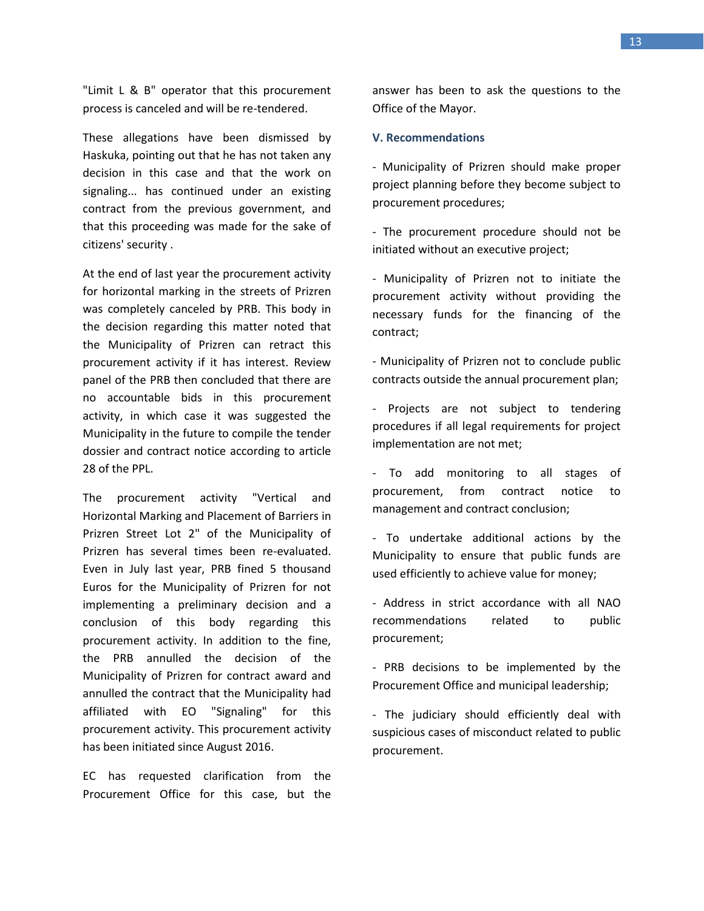"Limit L & B" operator that this procurement process is canceled and will be re-tendered.

These allegations have been dismissed by Haskuka, pointing out that he has not taken any decision in this case and that the work on signaling... has continued under an existing contract from the previous government, and that this proceeding was made for the sake of citizens' security .

At the end of last year the procurement activity for horizontal marking in the streets of Prizren was completely canceled by PRB. This body in the decision regarding this matter noted that the Municipality of Prizren can retract this procurement activity if it has interest. Review panel of the PRB then concluded that there are no accountable bids in this procurement activity, in which case it was suggested the Municipality in the future to compile the tender dossier and contract notice according to article 28 of the PPL.

The procurement activity "Vertical and Horizontal Marking and Placement of Barriers in Prizren Street Lot 2" of the Municipality of Prizren has several times been re-evaluated. Even in July last year, PRB fined 5 thousand Euros for the Municipality of Prizren for not implementing a preliminary decision and a conclusion of this body regarding this procurement activity. In addition to the fine, the PRB annulled the decision of the Municipality of Prizren for contract award and annulled the contract that the Municipality had affiliated with EO "Signaling" for this procurement activity. This procurement activity has been initiated since August 2016.

EC has requested clarification from the Procurement Office for this case, but the answer has been to ask the questions to the Office of the Mayor.

#### **V. Recommendations**

- Municipality of Prizren should make proper project planning before they become subject to procurement procedures;

- The procurement procedure should not be initiated without an executive project;

- Municipality of Prizren not to initiate the procurement activity without providing the necessary funds for the financing of the contract;

- Municipality of Prizren not to conclude public contracts outside the annual procurement plan;

- Projects are not subject to tendering procedures if all legal requirements for project implementation are not met;

- To add monitoring to all stages of procurement, from contract notice to management and contract conclusion;

- To undertake additional actions by the Municipality to ensure that public funds are used efficiently to achieve value for money;

- Address in strict accordance with all NAO recommendations related to public procurement;

- PRB decisions to be implemented by the Procurement Office and municipal leadership;

- The judiciary should efficiently deal with suspicious cases of misconduct related to public procurement.